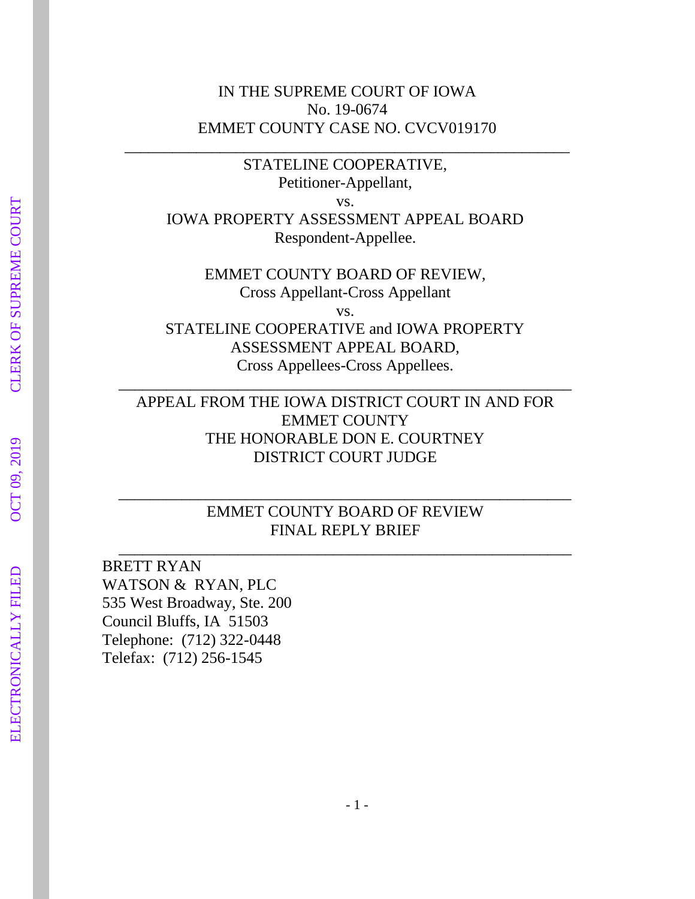### IN THE SUPREME COURT OF IOWA No. 19-0674 EMMET COUNTY CASE NO. CVCV019170

\_\_\_\_\_\_\_\_\_\_\_\_\_\_\_\_\_\_\_\_\_\_\_\_\_\_\_\_\_\_\_\_\_\_\_\_\_\_\_\_\_\_\_\_\_\_\_\_\_\_\_\_\_\_\_\_

STATELINE COOPERATIVE, Petitioner-Appellant, vs. IOWA PROPERTY ASSESSMENT APPEAL BOARD Respondent-Appellee.

EMMET COUNTY BOARD OF REVIEW, Cross Appellant-Cross Appellant vs. STATELINE COOPERATIVE and IOWA PROPERTY ASSESSMENT APPEAL BOARD, Cross Appellees-Cross Appellees.

APPEAL FROM THE IOWA DISTRICT COURT IN AND FOR EMMET COUNTY THE HONORABLE DON E. COURTNEY DISTRICT COURT JUDGE

\_\_\_\_\_\_\_\_\_\_\_\_\_\_\_\_\_\_\_\_\_\_\_\_\_\_\_\_\_\_\_\_\_\_\_\_\_\_\_\_\_\_\_\_\_\_\_\_\_\_\_\_\_\_\_\_\_

EMMET COUNTY BOARD OF REVIEW FINAL REPLY BRIEF \_\_\_\_\_\_\_\_\_\_\_\_\_\_\_\_\_\_\_\_\_\_\_\_\_\_\_\_\_\_\_\_\_\_\_\_\_\_\_\_\_\_\_\_\_\_\_\_\_\_\_\_\_\_\_\_\_

\_\_\_\_\_\_\_\_\_\_\_\_\_\_\_\_\_\_\_\_\_\_\_\_\_\_\_\_\_\_\_\_\_\_\_\_\_\_\_\_\_\_\_\_\_\_\_\_\_\_\_\_\_\_\_\_\_

BRETT RYAN WATSON & RYAN, PLC 535 West Broadway, Ste. 200 Council Bluffs, IA 51503 Telephone: (712) 322-0448 Telefax: (712) 256-1545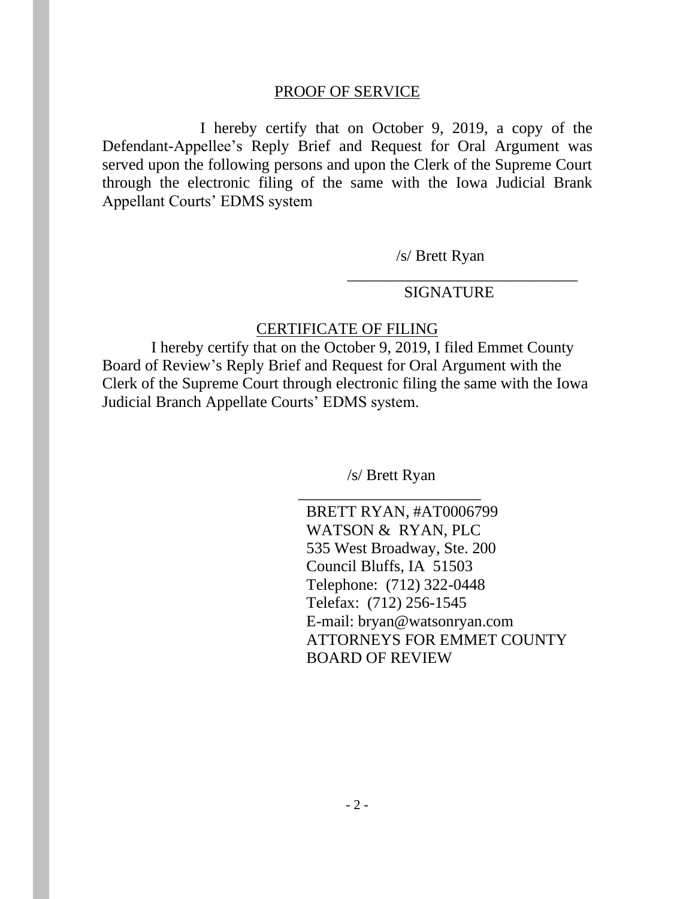#### PROOF OF SERVICE

I hereby certify that on October 9, 2019, a copy of the Defendant-Appellee's Reply Brief and Request for Oral Argument was served upon the following persons and upon the Clerk of the Supreme Court through the electronic filing of the same with the Iowa Judicial Brank Appellant Courts' EDMS system

/s/ Brett Ryan

#### SIGNATURE

\_\_\_\_\_\_\_\_\_\_\_\_\_\_\_\_\_\_\_\_\_\_\_\_\_\_\_\_\_

#### CERTIFICATE OF FILING

I hereby certify that on the October 9, 2019, I filed Emmet County Board of Review's Reply Brief and Request for Oral Argument with the Clerk of the Supreme Court through electronic filing the same with the Iowa Judicial Branch Appellate Courts' EDMS system.

> /s/ Brett Ryan \_\_\_\_\_\_\_\_\_\_\_\_\_\_\_\_\_\_\_\_\_\_\_

 BRETT RYAN, #AT0006799 WATSON & RYAN, PLC 535 West Broadway, Ste. 200 Council Bluffs, IA 51503 Telephone: (712) 322-0448 Telefax: (712) 256-1545 E-mail: bryan@watsonryan.com ATTORNEYS FOR EMMET COUNTY BOARD OF REVIEW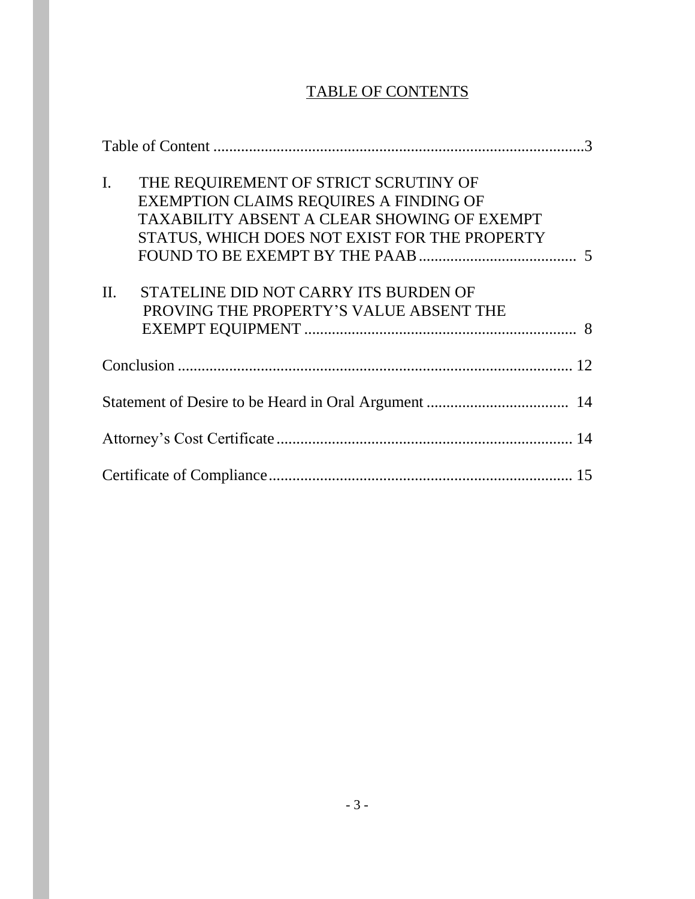# TABLE OF CONTENTS

| THE REQUIREMENT OF STRICT SCRUTINY OF<br>$\mathbf{I}$ .<br>EXEMPTION CLAIMS REQUIRES A FINDING OF<br>TAXABILITY ABSENT A CLEAR SHOWING OF EXEMPT<br>STATUS, WHICH DOES NOT EXIST FOR THE PROPERTY |
|---------------------------------------------------------------------------------------------------------------------------------------------------------------------------------------------------|
| STATELINE DID NOT CARRY ITS BURDEN OF<br>II.<br>PROVING THE PROPERTY'S VALUE ABSENT THE                                                                                                           |
|                                                                                                                                                                                                   |
|                                                                                                                                                                                                   |
|                                                                                                                                                                                                   |
|                                                                                                                                                                                                   |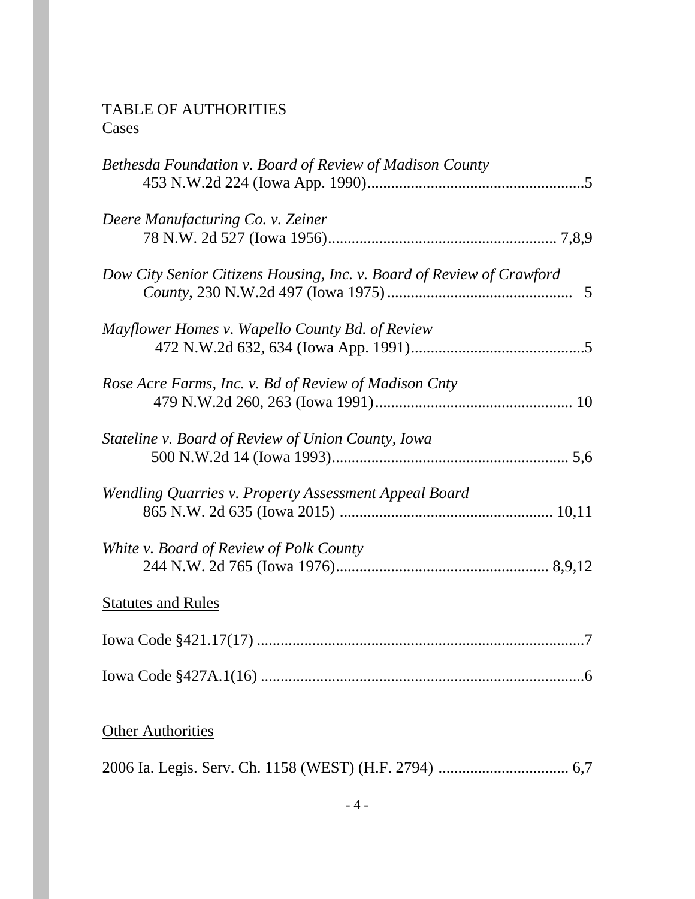### TABLE OF AUTHORITIES **Cases**

| Bethesda Foundation v. Board of Review of Madison County              |
|-----------------------------------------------------------------------|
| Deere Manufacturing Co. v. Zeiner                                     |
| Dow City Senior Citizens Housing, Inc. v. Board of Review of Crawford |
| Mayflower Homes v. Wapello County Bd. of Review                       |
| Rose Acre Farms, Inc. v. Bd of Review of Madison Cnty                 |
| Stateline v. Board of Review of Union County, Iowa                    |
| Wendling Quarries v. Property Assessment Appeal Board                 |
| White v. Board of Review of Polk County                               |
| <b>Statutes and Rules</b>                                             |
|                                                                       |
|                                                                       |
| <b>Other Authorities</b>                                              |

2006 Ia. Legis. Serv. Ch. 1158 (WEST) (H.F. 2794) ................................. 6,7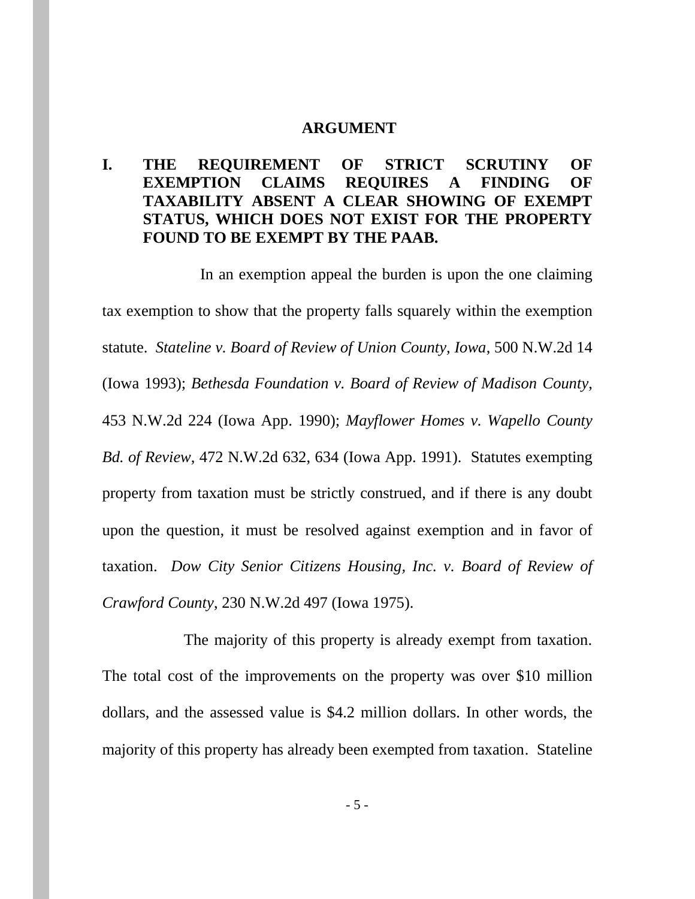#### **ARGUMENT**

### **I. THE REQUIREMENT OF STRICT SCRUTINY OF EXEMPTION CLAIMS REQUIRES A FINDING OF TAXABILITY ABSENT A CLEAR SHOWING OF EXEMPT STATUS, WHICH DOES NOT EXIST FOR THE PROPERTY FOUND TO BE EXEMPT BY THE PAAB.**

In an exemption appeal the burden is upon the one claiming tax exemption to show that the property falls squarely within the exemption statute. *Stateline v. Board of Review of Union County, Iowa*, 500 N.W.2d 14 (Iowa 1993); *Bethesda Foundation v. Board of Review of Madison County*, 453 N.W.2d 224 (Iowa App. 1990); *Mayflower Homes v. Wapello County Bd. of Review*, 472 N.W.2d 632, 634 (Iowa App. 1991). Statutes exempting property from taxation must be strictly construed, and if there is any doubt upon the question, it must be resolved against exemption and in favor of taxation. *Dow City Senior Citizens Housing, Inc. v. Board of Review of Crawford County*, 230 N.W.2d 497 (Iowa 1975).

The majority of this property is already exempt from taxation. The total cost of the improvements on the property was over \$10 million dollars, and the assessed value is \$4.2 million dollars. In other words, the majority of this property has already been exempted from taxation. Stateline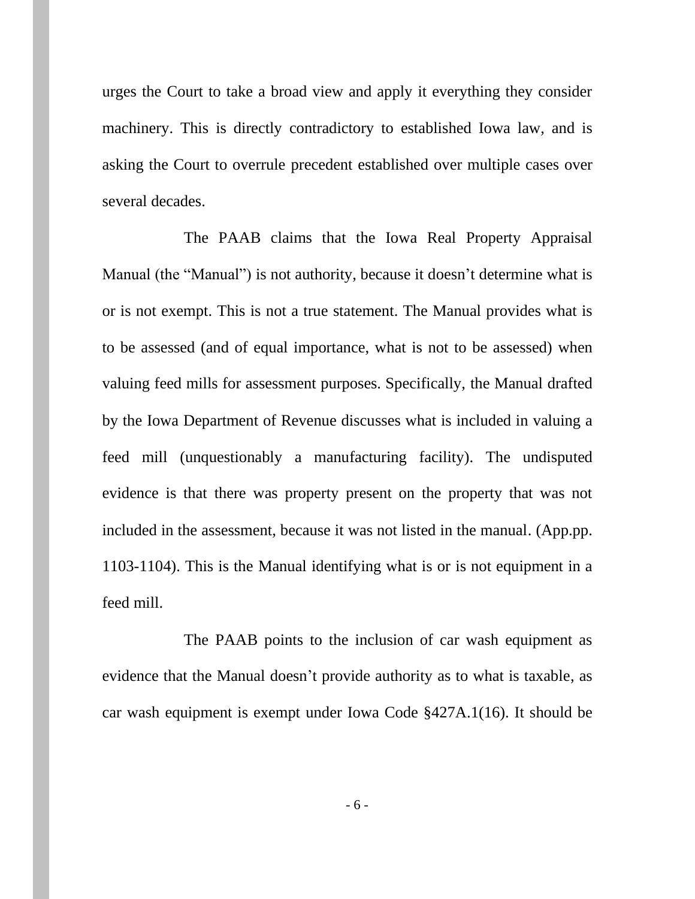urges the Court to take a broad view and apply it everything they consider machinery. This is directly contradictory to established Iowa law, and is asking the Court to overrule precedent established over multiple cases over several decades.

The PAAB claims that the Iowa Real Property Appraisal Manual (the "Manual") is not authority, because it doesn't determine what is or is not exempt. This is not a true statement. The Manual provides what is to be assessed (and of equal importance, what is not to be assessed) when valuing feed mills for assessment purposes. Specifically, the Manual drafted by the Iowa Department of Revenue discusses what is included in valuing a feed mill (unquestionably a manufacturing facility). The undisputed evidence is that there was property present on the property that was not included in the assessment, because it was not listed in the manual. (App.pp. 1103-1104). This is the Manual identifying what is or is not equipment in a feed mill.

The PAAB points to the inclusion of car wash equipment as evidence that the Manual doesn't provide authority as to what is taxable, as car wash equipment is exempt under Iowa Code §427A.1(16). It should be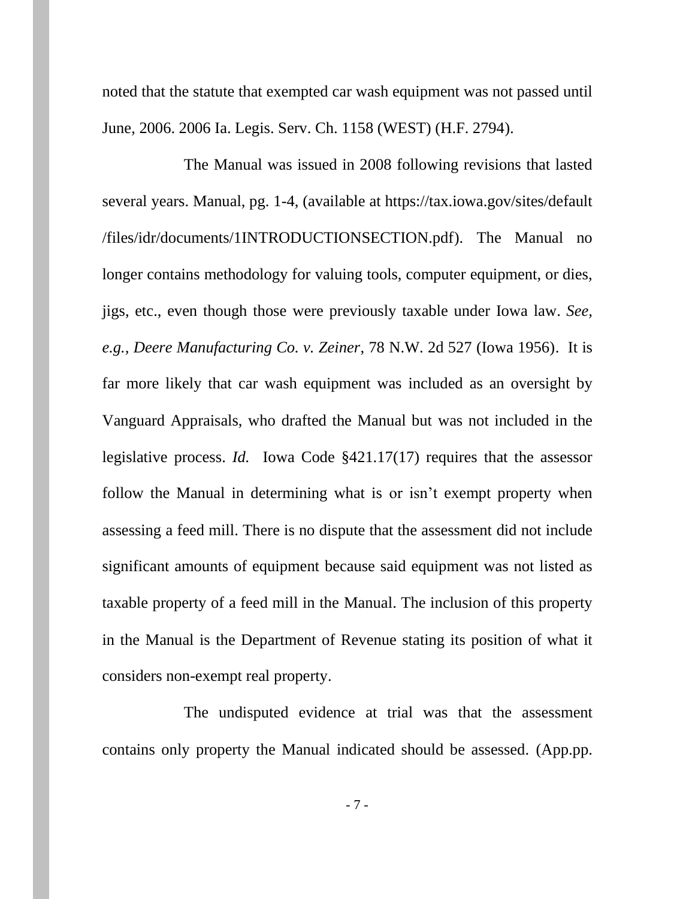noted that the statute that exempted car wash equipment was not passed until June, 2006. 2006 Ia. Legis. Serv. Ch. 1158 (WEST) (H.F. 2794).

The Manual was issued in 2008 following revisions that lasted several years. Manual, pg. 1-4, (available at https://tax.iowa.gov/sites/default /files/idr/documents/1INTRODUCTIONSECTION.pdf). The Manual no longer contains methodology for valuing tools, computer equipment, or dies, jigs, etc., even though those were previously taxable under Iowa law. *See, e.g., Deere Manufacturing Co. v. Zeiner*, 78 N.W. 2d 527 (Iowa 1956). It is far more likely that car wash equipment was included as an oversight by Vanguard Appraisals, who drafted the Manual but was not included in the legislative process. *Id.* Iowa Code §421.17(17) requires that the assessor follow the Manual in determining what is or isn't exempt property when assessing a feed mill. There is no dispute that the assessment did not include significant amounts of equipment because said equipment was not listed as taxable property of a feed mill in the Manual. The inclusion of this property in the Manual is the Department of Revenue stating its position of what it considers non-exempt real property.

The undisputed evidence at trial was that the assessment contains only property the Manual indicated should be assessed. (App.pp.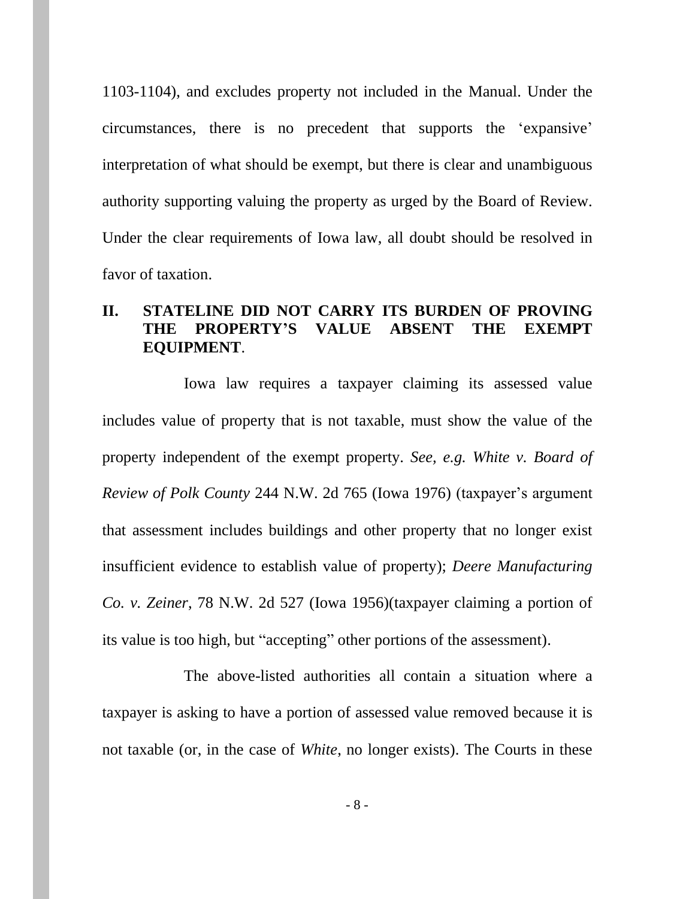1103-1104), and excludes property not included in the Manual. Under the circumstances, there is no precedent that supports the 'expansive' interpretation of what should be exempt, but there is clear and unambiguous authority supporting valuing the property as urged by the Board of Review. Under the clear requirements of Iowa law, all doubt should be resolved in favor of taxation.

### **II. STATELINE DID NOT CARRY ITS BURDEN OF PROVING THE PROPERTY'S VALUE ABSENT THE EXEMPT EQUIPMENT**.

Iowa law requires a taxpayer claiming its assessed value includes value of property that is not taxable, must show the value of the property independent of the exempt property. *See, e.g. White v. Board of Review of Polk County* 244 N.W. 2d 765 (Iowa 1976) (taxpayer's argument that assessment includes buildings and other property that no longer exist insufficient evidence to establish value of property); *Deere Manufacturing Co. v. Zeiner*, 78 N.W. 2d 527 (Iowa 1956)(taxpayer claiming a portion of its value is too high, but "accepting" other portions of the assessment).

The above-listed authorities all contain a situation where a taxpayer is asking to have a portion of assessed value removed because it is not taxable (or, in the case of *White*, no longer exists). The Courts in these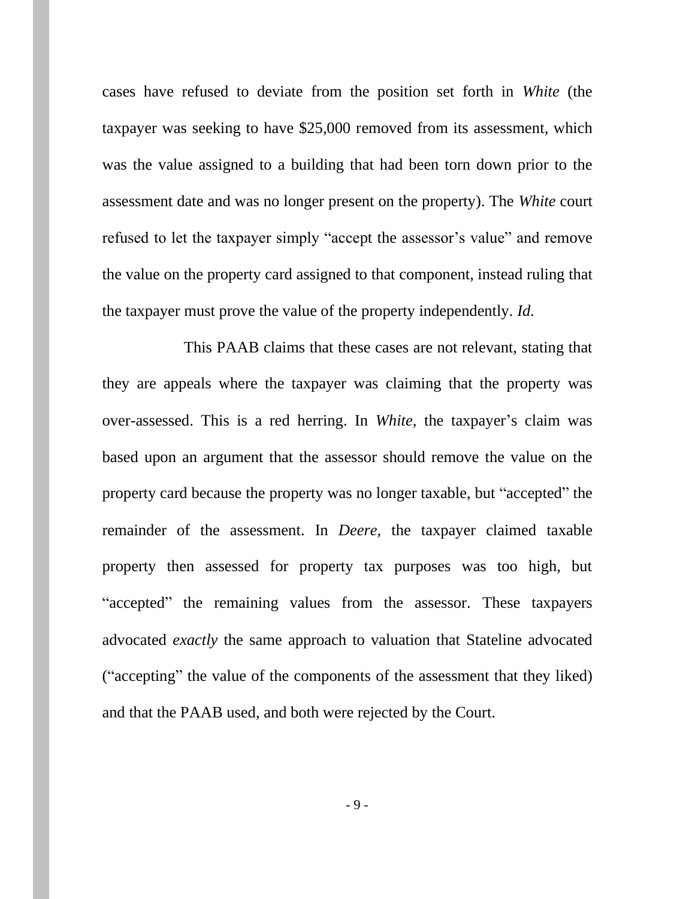cases have refused to deviate from the position set forth in *White* (the taxpayer was seeking to have \$25,000 removed from its assessment, which was the value assigned to a building that had been torn down prior to the assessment date and was no longer present on the property). The *White* court refused to let the taxpayer simply "accept the assessor's value" and remove the value on the property card assigned to that component, instead ruling that the taxpayer must prove the value of the property independently. *Id.*

This PAAB claims that these cases are not relevant, stating that they are appeals where the taxpayer was claiming that the property was over-assessed. This is a red herring. In *White,* the taxpayer's claim was based upon an argument that the assessor should remove the value on the property card because the property was no longer taxable, but "accepted" the remainder of the assessment. In *Deere,* the taxpayer claimed taxable property then assessed for property tax purposes was too high, but "accepted" the remaining values from the assessor. These taxpayers advocated *exactly* the same approach to valuation that Stateline advocated ("accepting" the value of the components of the assessment that they liked) and that the PAAB used, and both were rejected by the Court.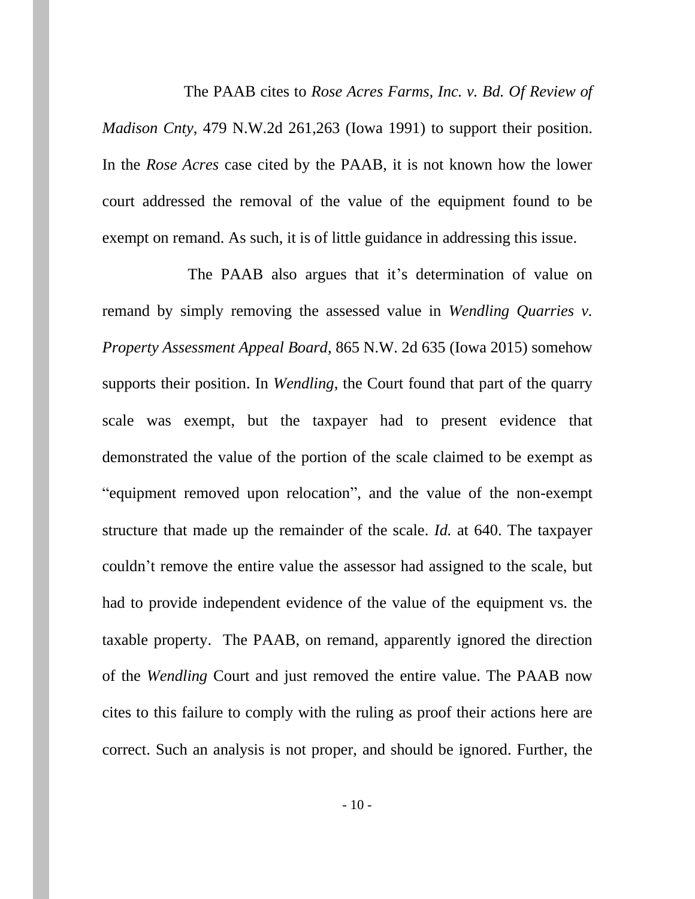The PAAB cites to *Rose Acres Farms, Inc. v. Bd. Of Review of Madison Cnty*, 479 N.W.2d 261,263 (Iowa 1991) to support their position. In the *Rose Acres* case cited by the PAAB, it is not known how the lower court addressed the removal of the value of the equipment found to be exempt on remand. As such, it is of little guidance in addressing this issue.

The PAAB also argues that it's determination of value on remand by simply removing the assessed value in *Wendling Quarries v. Property Assessment Appeal Board*, 865 N.W. 2d 635 (Iowa 2015) somehow supports their position. In *Wendling*, the Court found that part of the quarry scale was exempt, but the taxpayer had to present evidence that demonstrated the value of the portion of the scale claimed to be exempt as "equipment removed upon relocation", and the value of the non-exempt structure that made up the remainder of the scale. *Id.* at 640. The taxpayer couldn't remove the entire value the assessor had assigned to the scale, but had to provide independent evidence of the value of the equipment vs. the taxable property. The PAAB, on remand, apparently ignored the direction of the *Wendling* Court and just removed the entire value. The PAAB now cites to this failure to comply with the ruling as proof their actions here are correct. Such an analysis is not proper, and should be ignored. Further, the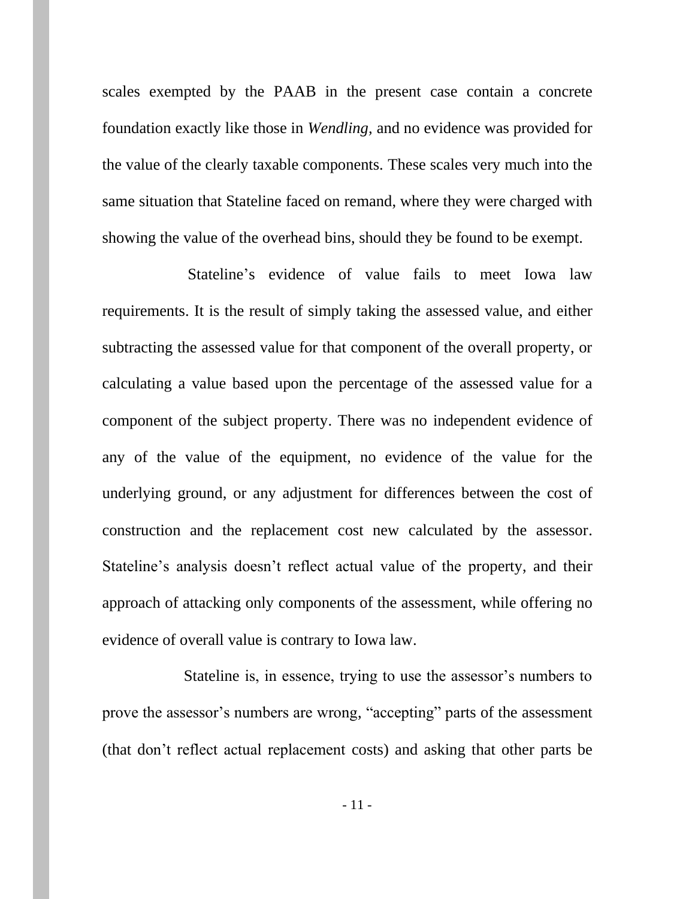scales exempted by the PAAB in the present case contain a concrete foundation exactly like those in *Wendling,* and no evidence was provided for the value of the clearly taxable components. These scales very much into the same situation that Stateline faced on remand, where they were charged with showing the value of the overhead bins, should they be found to be exempt.

Stateline's evidence of value fails to meet Iowa law requirements. It is the result of simply taking the assessed value, and either subtracting the assessed value for that component of the overall property, or calculating a value based upon the percentage of the assessed value for a component of the subject property. There was no independent evidence of any of the value of the equipment, no evidence of the value for the underlying ground, or any adjustment for differences between the cost of construction and the replacement cost new calculated by the assessor. Stateline's analysis doesn't reflect actual value of the property, and their approach of attacking only components of the assessment, while offering no evidence of overall value is contrary to Iowa law.

Stateline is, in essence, trying to use the assessor's numbers to prove the assessor's numbers are wrong, "accepting" parts of the assessment (that don't reflect actual replacement costs) and asking that other parts be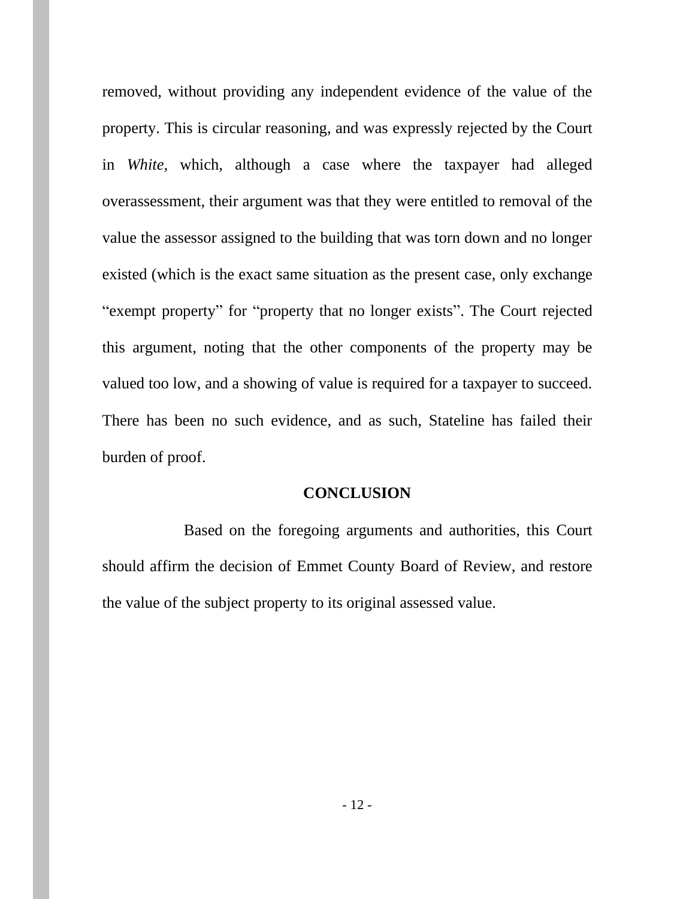removed, without providing any independent evidence of the value of the property. This is circular reasoning, and was expressly rejected by the Court in *White,* which, although a case where the taxpayer had alleged overassessment, their argument was that they were entitled to removal of the value the assessor assigned to the building that was torn down and no longer existed (which is the exact same situation as the present case, only exchange "exempt property" for "property that no longer exists". The Court rejected this argument, noting that the other components of the property may be valued too low, and a showing of value is required for a taxpayer to succeed. There has been no such evidence, and as such, Stateline has failed their burden of proof.

#### **CONCLUSION**

Based on the foregoing arguments and authorities, this Court should affirm the decision of Emmet County Board of Review, and restore the value of the subject property to its original assessed value.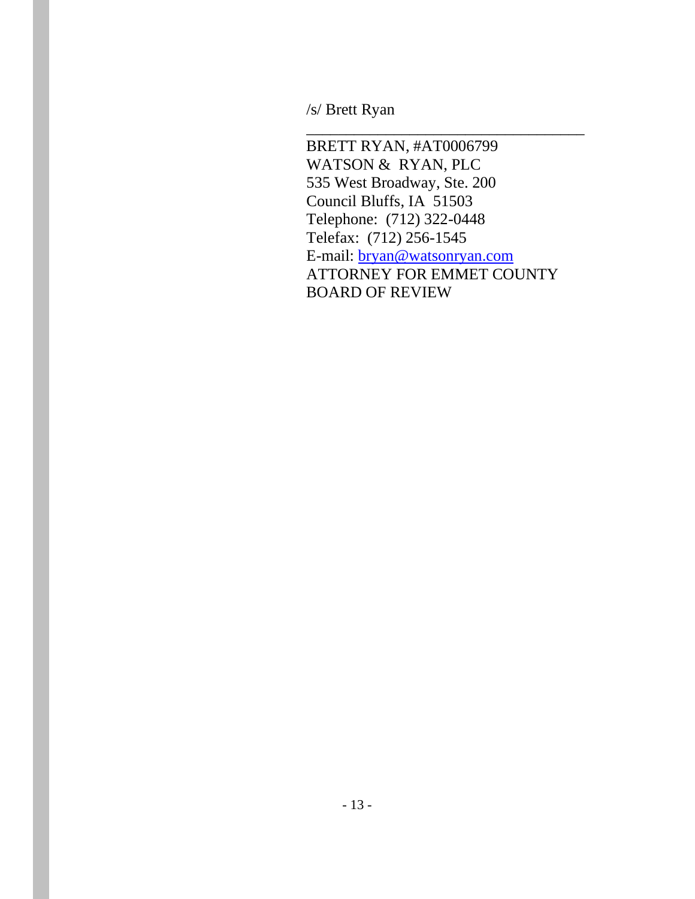/s/ Brett Ryan

 BRETT RYAN, #AT0006799 WATSON & RYAN, PLC 535 West Broadway, Ste. 200 Council Bluffs, IA 51503 Telephone: (712) 322-0448 Telefax: (712) 256-1545 E-mail: [bryan@watsonryan.com](mailto:bryan@cswllp.com) ATTORNEY FOR EMMET COUNTY BOARD OF REVIEW

\_\_\_\_\_\_\_\_\_\_\_\_\_\_\_\_\_\_\_\_\_\_\_\_\_\_\_\_\_\_\_\_\_\_\_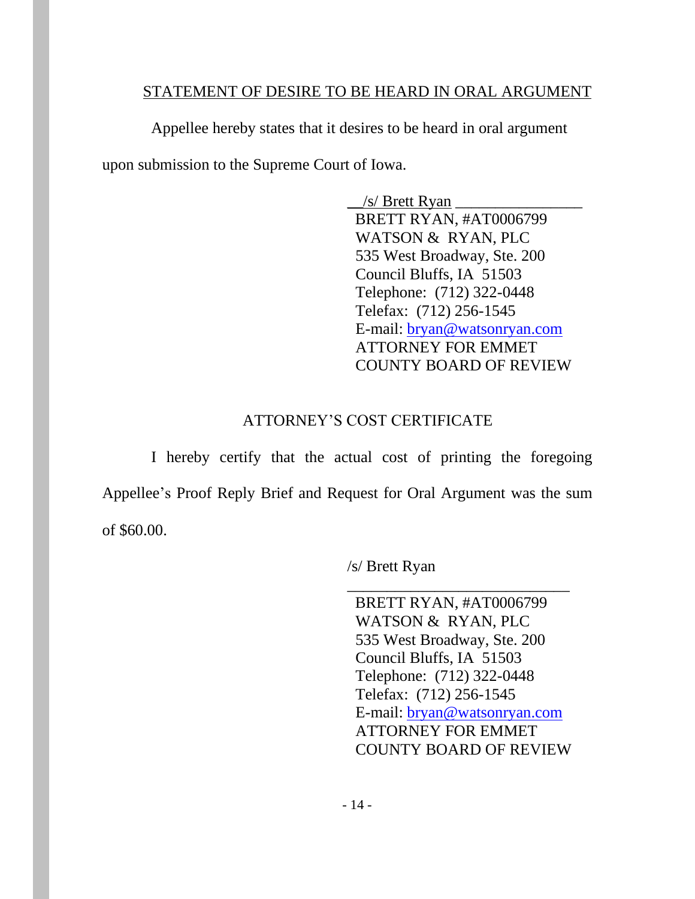### STATEMENT OF DESIRE TO BE HEARD IN ORAL ARGUMENT

Appellee hereby states that it desires to be heard in oral argument upon submission to the Supreme Court of Iowa.

> $\frac{1}{s}$  Brett Ryan BRETT RYAN, #AT0006799 WATSON & RYAN, PLC 535 West Broadway, Ste. 200 Council Bluffs, IA 51503 Telephone: (712) 322-0448 Telefax: (712) 256-1545 E-mail: [bryan@watsonryan.com](mailto:bryan@cswllp.com) ATTORNEY FOR EMMET COUNTY BOARD OF REVIEW

## ATTORNEY'S COST CERTIFICATE

I hereby certify that the actual cost of printing the foregoing Appellee's Proof Reply Brief and Request for Oral Argument was the sum of \$60.00.

/s/ Brett Ryan

 BRETT RYAN, #AT0006799 WATSON & RYAN, PLC 535 West Broadway, Ste. 200 Council Bluffs, IA 51503 Telephone: (712) 322-0448 Telefax: (712) 256-1545 E-mail: [bryan@watsonryan.com](mailto:bryan@cswllp.com) ATTORNEY FOR EMMET COUNTY BOARD OF REVIEW

\_\_\_\_\_\_\_\_\_\_\_\_\_\_\_\_\_\_\_\_\_\_\_\_\_\_\_\_